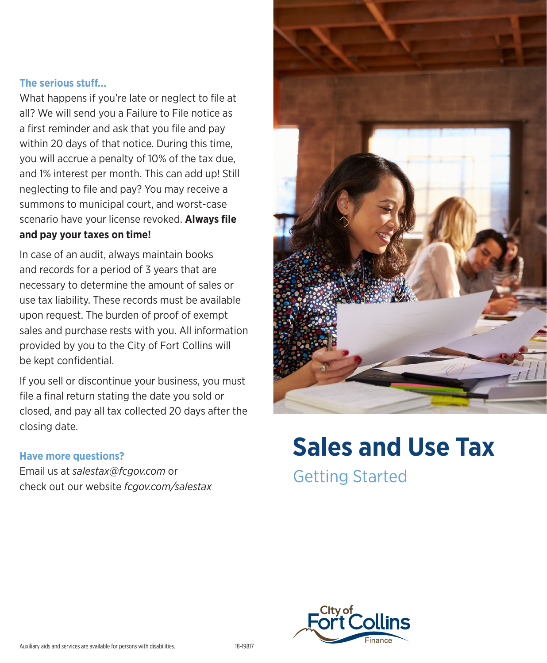#### **The serious stuff…**

What happens if you're late or neglect to file at all? We will send you a Failure to File notice as a first reminder and ask that you file and pay within 20 days of that notice. During this time, you will accrue a penalty of 10% of the tax due, and 1% interest per month. This can add up! Still neglecting to file and pay? You may receive a summons to municipal court, and worst-case scenario have your license revoked. **Always file and pay your taxes on time!**

In case of an audit, always maintain books and records for a period of 3 years that are necessary to determine the amount of sales or use tax liability. These records must be available upon request. The burden of proof of exempt sales and purchase rests with you. All information provided by you to the City of Fort Collins will be kept confidential.

If you sell or discontinue your business, you must file a final return stating the date you sold or closed, and pay all tax collected 20 days after the closing date.

#### **Have more questions?**

Email us at *salestax@fcgov.com* or check out our website *fcgov.com/salestax*



# **Sales and Use Tax**

Getting Started